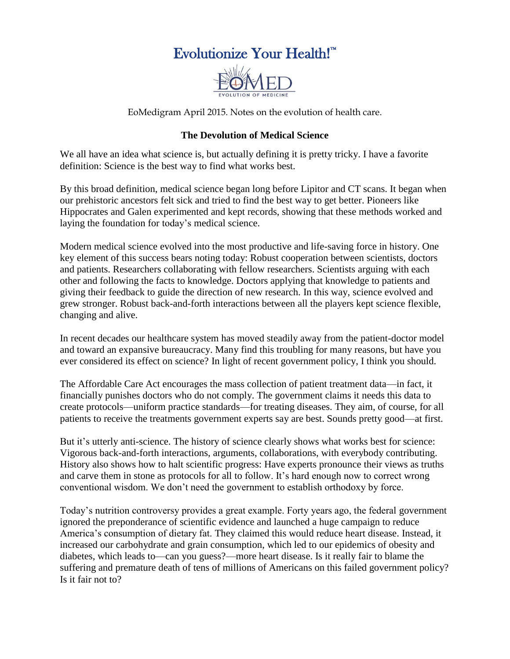## Evolutionize Your Health!™



EoMedigram April 2015. Notes on the evolution of health care.

## **The Devolution of Medical Science**

We all have an idea what science is, but actually defining it is pretty tricky. I have a favorite definition: Science is the best way to find what works best.

By this broad definition, medical science began long before Lipitor and CT scans. It began when our prehistoric ancestors felt sick and tried to find the best way to get better. Pioneers like Hippocrates and Galen experimented and kept records, showing that these methods worked and laying the foundation for today's medical science.

Modern medical science evolved into the most productive and life-saving force in history. One key element of this success bears noting today: Robust cooperation between scientists, doctors and patients. Researchers collaborating with fellow researchers. Scientists arguing with each other and following the facts to knowledge. Doctors applying that knowledge to patients and giving their feedback to guide the direction of new research. In this way, science evolved and grew stronger. Robust back-and-forth interactions between all the players kept science flexible, changing and alive.

In recent decades our healthcare system has moved steadily away from the patient-doctor model and toward an expansive bureaucracy. Many find this troubling for many reasons, but have you ever considered its effect on science? In light of recent government policy, I think you should.

The Affordable Care Act encourages the mass collection of patient treatment data—in fact, it financially punishes doctors who do not comply. The government claims it needs this data to create protocols—uniform practice standards—for treating diseases. They aim, of course, for all patients to receive the treatments government experts say are best. Sounds pretty good—at first.

But it's utterly anti-science. The history of science clearly shows what works best for science: Vigorous back-and-forth interactions, arguments, collaborations, with everybody contributing. History also shows how to halt scientific progress: Have experts pronounce their views as truths and carve them in stone as protocols for all to follow. It's hard enough now to correct wrong conventional wisdom. We don't need the government to establish orthodoxy by force.

Today's nutrition controversy provides a great example. Forty years ago, the federal government ignored the preponderance of scientific evidence and launched a huge campaign to reduce America's consumption of dietary fat. They claimed this would reduce heart disease. Instead, it increased our carbohydrate and grain consumption, which led to our epidemics of obesity and diabetes, which leads to—can you guess?—more heart disease. Is it really fair to blame the suffering and premature death of tens of millions of Americans on this failed government policy? Is it fair not to?